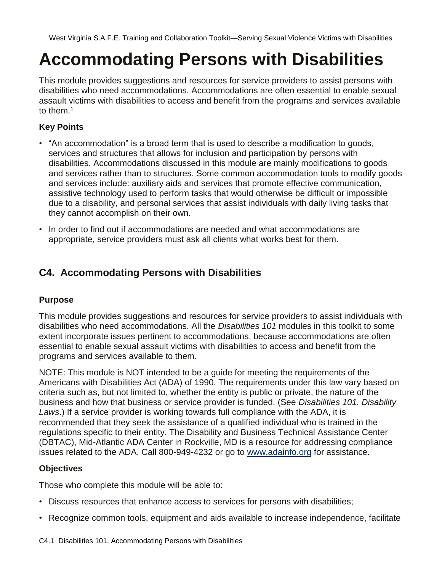# **Accommodating Persons with Disabilities**

This module provides suggestions and resources for service providers to assist persons with disabilities who need accommodations. Accommodations are often essential to enable sexual assault victims with disabilities to access and benefit from the programs and services available to them.<sup>1</sup>

### **Key Points**

- "An accommodation" is a broad term that is used to describe a modification to goods, services and structures that allows for inclusion and participation by persons with disabilities. Accommodations discussed in this module are mainly modifications to goods and services rather than to structures. Some common accommodation tools to modify goods and services include: auxiliary aids and services that promote effective communication, assistive technology used to perform tasks that would otherwise be difficult or impossible due to a disability, and personal services that assist individuals with daily living tasks that they cannot accomplish on their own.
- In order to find out if accommodations are needed and what accommodations are appropriate, service providers must ask all clients what works best for them.

## **C4. Accommodating Persons with Disabilities**

#### **Purpose**

This module provides suggestions and resources for service providers to assist individuals with disabilities who need accommodations. All the *Disabilities 101* modules in this toolkit to some extent incorporate issues pertinent to accommodations, because accommodations are often essential to enable sexual assault victims with disabilities to access and benefit from the programs and services available to them.

NOTE: This module is NOT intended to be a guide for meeting the requirements of the Americans with Disabilities Act (ADA) of 1990. The requirements under this law vary based on criteria such as, but not limited to, whether the entity is public or private, the nature of the business and how that business or service provider is funded. (See *Disabilities 101. Disability Laws*.) If a service provider is working towards full compliance with the ADA, it is recommended that they seek the assistance of a qualified individual who is trained in the regulations specific to their entity. The Disability and Business Technical Assistance Center (DBTAC), Mid-Atlantic ADA Center in Rockville, MD is a resource for addressing compliance issues related to the ADA. Call 800-949-4232 or go to www.adainfo.org for assistance.

#### **Objectives**

Those who complete this module will be able to:

- Discuss resources that enhance access to services for persons with disabilities;
- Recognize common tools, equipment and aids available to increase independence, facilitate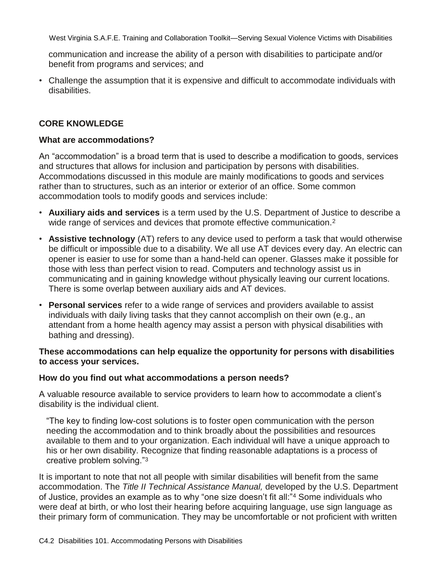communication and increase the ability of a person with disabilities to participate and/or benefit from programs and services; and

• Challenge the assumption that it is expensive and difficult to accommodate individuals with disabilities.

#### **CORE KNOWLEDGE**

#### **What are accommodations?**

An "accommodation" is a broad term that is used to describe a modification to goods, services and structures that allows for inclusion and participation by persons with disabilities. Accommodations discussed in this module are mainly modifications to goods and services rather than to structures, such as an interior or exterior of an office. Some common accommodation tools to modify goods and services include:

- **Auxiliary aids and services** is a term used by the U.S. Department of Justice to describe a wide range of services and devices that promote effective communication.<sup>2</sup>
- **Assistive technology** (AT) refers to any device used to perform a task that would otherwise be difficult or impossible due to a disability. We all use AT devices every day. An electric can opener is easier to use for some than a hand-held can opener. Glasses make it possible for those with less than perfect vision to read. Computers and technology assist us in communicating and in gaining knowledge without physically leaving our current locations. There is some overlap between auxiliary aids and AT devices.
- **Personal services** refer to a wide range of services and providers available to assist individuals with daily living tasks that they cannot accomplish on their own (e.g., an attendant from a home health agency may assist a person with physical disabilities with bathing and dressing).

#### **These accommodations can help equalize the opportunity for persons with disabilities to access your services.**

#### **How do you find out what accommodations a person needs?**

A valuable resource available to service providers to learn how to accommodate a client's disability is the individual client.

―The key to finding low-cost solutions is to foster open communication with the person needing the accommodation and to think broadly about the possibilities and resources available to them and to your organization. Each individual will have a unique approach to his or her own disability. Recognize that finding reasonable adaptations is a process of creative problem solving."3

It is important to note that not all people with similar disabilities will benefit from the same accommodation. The *Title II Technical Assistance Manual,* developed by the U.S. Department of Justice, provides an example as to why "one size doesn't fit all:"<sup>4</sup> Some individuals who were deaf at birth, or who lost their hearing before acquiring language, use sign language as their primary form of communication. They may be uncomfortable or not proficient with written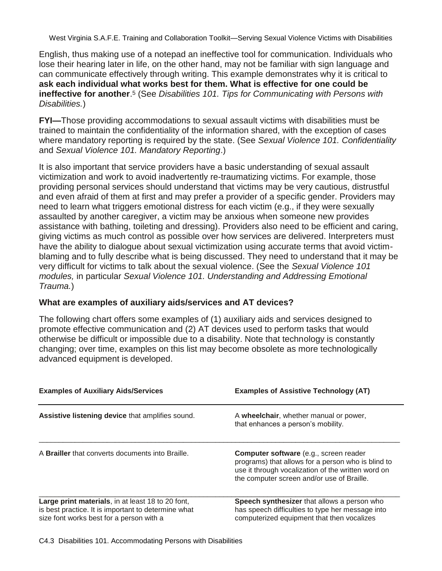English, thus making use of a notepad an ineffective tool for communication. Individuals who lose their hearing later in life, on the other hand, may not be familiar with sign language and can communicate effectively through writing. This example demonstrates why it is critical to **ask each individual what works best for them. What is effective for one could be ineffective for another**. <sup>5</sup> (See *Disabilities 101. Tips for Communicating with Persons with Disabilities.*)

**FYI—**Those providing accommodations to sexual assault victims with disabilities must be trained to maintain the confidentiality of the information shared, with the exception of cases where mandatory reporting is required by the state. (See *Sexual Violence 101. Confidentiality* and *Sexual Violence 101. Mandatory Reporting*.)

It is also important that service providers have a basic understanding of sexual assault victimization and work to avoid inadvertently re-traumatizing victims. For example, those providing personal services should understand that victims may be very cautious, distrustful and even afraid of them at first and may prefer a provider of a specific gender. Providers may need to learn what triggers emotional distress for each victim (e.g., if they were sexually assaulted by another caregiver, a victim may be anxious when someone new provides assistance with bathing, toileting and dressing). Providers also need to be efficient and caring, giving victims as much control as possible over how services are delivered. Interpreters must have the ability to dialogue about sexual victimization using accurate terms that avoid victimblaming and to fully describe what is being discussed. They need to understand that it may be very difficult for victims to talk about the sexual violence. (See the *Sexual Violence 101 modules,* in particular *Sexual Violence 101. Understanding and Addressing Emotional Trauma.*)

#### **What are examples of auxiliary aids/services and AT devices?**

The following chart offers some examples of (1) auxiliary aids and services designed to promote effective communication and (2) AT devices used to perform tasks that would otherwise be difficult or impossible due to a disability. Note that technology is constantly changing; over time, examples on this list may become obsolete as more technologically advanced equipment is developed.

| <b>Examples of Auxiliary Aids/Services</b>                                                                                                           | <b>Examples of Assistive Technology (AT)</b>                                                                                                                                                            |
|------------------------------------------------------------------------------------------------------------------------------------------------------|---------------------------------------------------------------------------------------------------------------------------------------------------------------------------------------------------------|
| Assistive listening device that amplifies sound.                                                                                                     | A wheelchair, whether manual or power,<br>that enhances a person's mobility.                                                                                                                            |
| A <b>Brailler</b> that converts documents into Braille.                                                                                              | <b>Computer software</b> (e.g., screen reader<br>programs) that allows for a person who is blind to<br>use it through vocalization of the written word on<br>the computer screen and/or use of Braille. |
| Large print materials, in at least 18 to 20 font,<br>is best practice. It is important to determine what<br>size font works best for a person with a | Speech synthesizer that allows a person who<br>has speech difficulties to type her message into<br>computerized equipment that then vocalizes                                                           |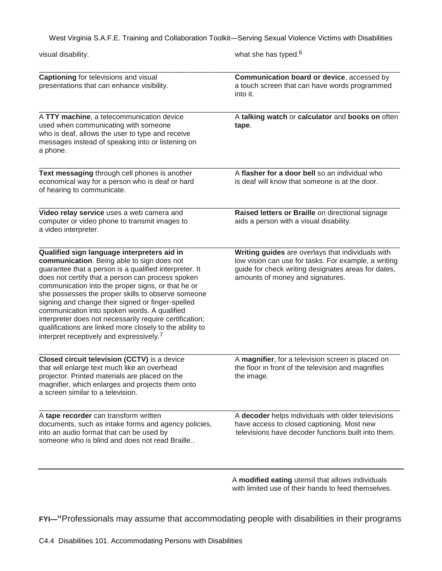| visual disability.                                                                                                                                                                                                                                                                                                                                                                                                                                                                                                                                                                                       | what she has typed. <sup>6</sup>                                                                                                                                                                     |
|----------------------------------------------------------------------------------------------------------------------------------------------------------------------------------------------------------------------------------------------------------------------------------------------------------------------------------------------------------------------------------------------------------------------------------------------------------------------------------------------------------------------------------------------------------------------------------------------------------|------------------------------------------------------------------------------------------------------------------------------------------------------------------------------------------------------|
| Captioning for televisions and visual<br>presentations that can enhance visibility.                                                                                                                                                                                                                                                                                                                                                                                                                                                                                                                      | Communication board or device, accessed by<br>a touch screen that can have words programmed<br>into it.                                                                                              |
| A TTY machine, a telecommunication device<br>used when communicating with someone<br>who is deaf, allows the user to type and receive<br>messages instead of speaking into or listening on<br>a phone.                                                                                                                                                                                                                                                                                                                                                                                                   | A talking watch or calculator and books on often<br>tape.                                                                                                                                            |
| Text messaging through cell phones is another<br>economical way for a person who is deaf or hard<br>of hearing to communicate.                                                                                                                                                                                                                                                                                                                                                                                                                                                                           | A flasher for a door bell so an individual who<br>is deaf will know that someone is at the door.                                                                                                     |
| Video relay service uses a web camera and<br>computer or video phone to transmit images to<br>a video interpreter.                                                                                                                                                                                                                                                                                                                                                                                                                                                                                       | Raised letters or Braille on directional signage<br>aids a person with a visual disability.                                                                                                          |
| Qualified sign language interpreters aid in<br>communication. Being able to sign does not<br>guarantee that a person is a qualified interpreter. It<br>does not certify that a person can process spoken<br>communication into the proper signs, or that he or<br>she possesses the proper skills to observe someone<br>signing and change their signed or finger-spelled<br>communication into spoken words. A qualified<br>interpreter does not necessarily require certification;<br>qualifications are linked more closely to the ability to<br>interpret receptively and expressively. <sup>7</sup> | Writing guides are overlays that individuals with<br>low vision can use for tasks. For example, a writing<br>guide for check writing designates areas for dates,<br>amounts of money and signatures. |
| Closed circuit television (CCTV) is a device<br>that will enlarge text much like an overhead<br>projector. Printed materials are placed on the<br>magnifier, which enlarges and projects them onto<br>a screen similar to a television.                                                                                                                                                                                                                                                                                                                                                                  | A magnifier, for a television screen is placed on<br>the floor in front of the television and magnifies<br>the image.                                                                                |
| A tape recorder can transform written<br>documents, such as intake forms and agency policies,<br>into an audio format that can be used by<br>someone who is blind and does not read Braille                                                                                                                                                                                                                                                                                                                                                                                                              | A decoder helps individuals with older televisions<br>have access to closed captioning. Most new<br>televisions have decoder functions built into them.                                              |

A **modified eating** utensil that allows individuals with limited use of their hands to feed themselves.

**FYI—"**Professionals may assume that accommodating people with disabilities in their programs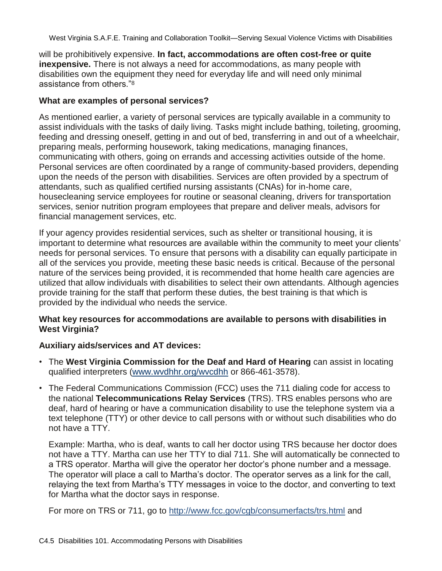will be prohibitively expensive. **In fact, accommodations are often cost-free or quite inexpensive.** There is not always a need for accommodations, as many people with disabilities own the equipment they need for everyday life and will need only minimal assistance from others."<sup>8</sup>

#### **What are examples of personal services?**

As mentioned earlier, a variety of personal services are typically available in a community to assist individuals with the tasks of daily living. Tasks might include bathing, toileting, grooming, feeding and dressing oneself, getting in and out of bed, transferring in and out of a wheelchair, preparing meals, performing housework, taking medications, managing finances, communicating with others, going on errands and accessing activities outside of the home. Personal services are often coordinated by a range of community-based providers, depending upon the needs of the person with disabilities. Services are often provided by a spectrum of attendants, such as qualified certified nursing assistants (CNAs) for in-home care, housecleaning service employees for routine or seasonal cleaning, drivers for transportation services, senior nutrition program employees that prepare and deliver meals, advisors for financial management services, etc.

If your agency provides residential services, such as shelter or transitional housing, it is important to determine what resources are available within the community to meet your clients' needs for personal services. To ensure that persons with a disability can equally participate in all of the services you provide, meeting these basic needs is critical. Because of the personal nature of the services being provided, it is recommended that home health care agencies are utilized that allow individuals with disabilities to select their own attendants. Although agencies provide training for the staff that perform these duties, the best training is that which is provided by the individual who needs the service.

#### **What key resources for accommodations are available to persons with disabilities in West Virginia?**

#### **Auxiliary aids/services and AT devices:**

- The **West Virginia Commission for the Deaf and Hard of Hearing** can assist in locating qualified interpreters (www.wvdhhr.org/wvcdhh or 866-461-3578).
- The Federal Communications Commission (FCC) uses the 711 dialing code for access to the national **Telecommunications Relay Services** (TRS). TRS enables persons who are deaf, hard of hearing or have a communication disability to use the telephone system via a text telephone (TTY) or other device to call persons with or without such disabilities who do not have a TTY.

Example: Martha, who is deaf, wants to call her doctor using TRS because her doctor does not have a TTY. Martha can use her TTY to dial 711. She will automatically be connected to a TRS operator. Martha will give the operator her doctor's phone number and a message. The operator will place a call to Martha's doctor. The operator serves as a link for the call, relaying the text from Martha's TTY messages in voice to the doctor, and converting to text for Martha what the doctor says in response.

For more on TRS or 711, go to<http://www.fcc.gov/cgb/consumerfacts/trs.html> and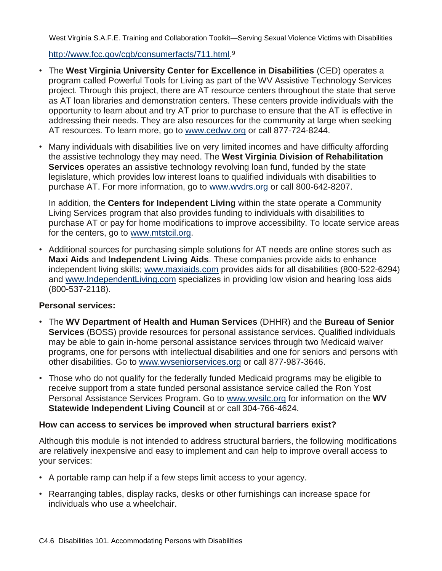http://www.fcc.gov/cgb/consumerfacts/711.html.<sup>9</sup>

- The **West Virginia University Center for Excellence in Disabilities** (CED) operates a program called Powerful Tools for Living as part of the WV Assistive Technology Services project. Through this project, there are AT resource centers throughout the state that serve as AT loan libraries and demonstration centers. These centers provide individuals with the opportunity to learn about and try AT prior to purchase to ensure that the AT is effective in addressing their needs. They are also resources for the community at large when seeking AT resources. To learn more, go to www.cedwy.org or call 877-724-8244.
- Many individuals with disabilities live on very limited incomes and have difficulty affording the assistive technology they may need. The **West Virginia Division of Rehabilitation Services** operates an assistive technology revolving loan fund, funded by the state legislature, which provides low interest loans to qualified individuals with disabilities to purchase AT. For more information, go to www.wvdrs.org or call 800-642-8207.

In addition, the **Centers for Independent Living** within the state operate a Community Living Services program that also provides funding to individuals with disabilities to purchase AT or pay for home modifications to improve accessibility. To locate service areas for the centers, go to www.mtstcil.org.

• Additional sources for purchasing simple solutions for AT needs are online stores such as **Maxi Aids** and **Independent Living Aids**. These companies provide aids to enhance independent living skills; www.maxiaids.com provides aids for all disabilities (800-522-6294) and www.IndependentLiving.com specializes in providing low vision and hearing loss aids (800-537-2118).

#### **Personal services:**

- The **WV Department of Health and Human Services** (DHHR) and the **Bureau of Senior Services** (BOSS) provide resources for personal assistance services. Qualified individuals may be able to gain in-home personal assistance services through two Medicaid waiver programs, one for persons with intellectual disabilities and one for seniors and persons with other disabilities. Go to www.wvseniorservices.org or call 877-987-3646.
- Those who do not qualify for the federally funded Medicaid programs may be eligible to receive support from a state funded personal assistance service called the Ron Yost Personal Assistance Services Program. Go to www.wvsilc.org for information on the **WV Statewide Independent Living Council** at or call 304-766-4624.

#### **How can access to services be improved when structural barriers exist?**

Although this module is not intended to address structural barriers, the following modifications are relatively inexpensive and easy to implement and can help to improve overall access to your services:

- A portable ramp can help if a few steps limit access to your agency.
- Rearranging tables, display racks, desks or other furnishings can increase space for individuals who use a wheelchair.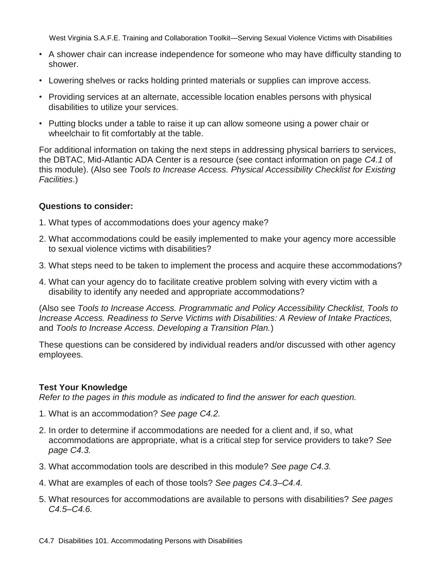- A shower chair can increase independence for someone who may have difficulty standing to shower.
- Lowering shelves or racks holding printed materials or supplies can improve access.
- Providing services at an alternate, accessible location enables persons with physical disabilities to utilize your services.
- Putting blocks under a table to raise it up can allow someone using a power chair or wheelchair to fit comfortably at the table.

For additional information on taking the next steps in addressing physical barriers to services, the DBTAC, Mid-Atlantic ADA Center is a resource (see contact information on page *C4.1* of this module). (Also see *Tools to Increase Access. Physical Accessibility Checklist for Existing Facilities*.)

#### **Questions to consider:**

- 1. What types of accommodations does your agency make?
- 2. What accommodations could be easily implemented to make your agency more accessible to sexual violence victims with disabilities?
- 3. What steps need to be taken to implement the process and acquire these accommodations?
- 4. What can your agency do to facilitate creative problem solving with every victim with a disability to identify any needed and appropriate accommodations?

(Also see *Tools to Increase Access. Programmatic and Policy Accessibility Checklist, Tools to Increase Access. Readiness to Serve Victims with Disabilities: A Review of Intake Practices,*  and *Tools to Increase Access. Developing a Transition Plan.*)

These questions can be considered by individual readers and/or discussed with other agency employees.

#### **Test Your Knowledge**

*Refer to the pages in this module as indicated to find the answer for each question.*

- 1. What is an accommodation? *See page C4.2.*
- 2. In order to determine if accommodations are needed for a client and, if so, what accommodations are appropriate, what is a critical step for service providers to take? *See page C4.3.*
- 3. What accommodation tools are described in this module? *See page C4.3.*
- 4. What are examples of each of those tools? *See pages C4.3–C4.4.*
- 5. What resources for accommodations are available to persons with disabilities? *See pages C4.5–C4.6.*